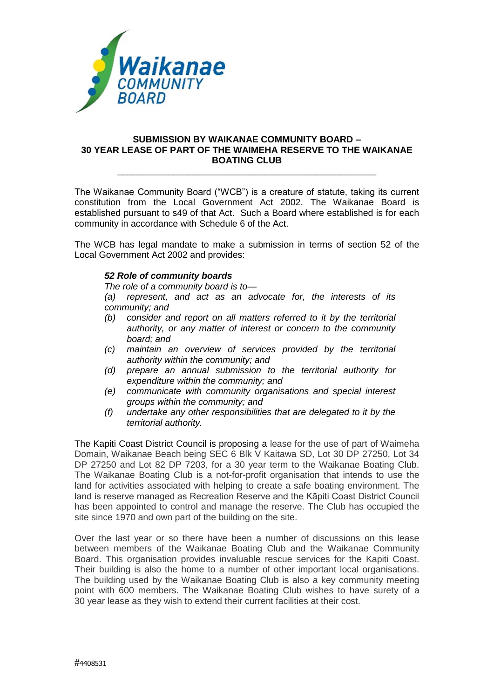

## **SUBMISSION BY WAIKANAE COMMUNITY BOARD – 30 YEAR LEASE OF PART OF THE WAIMEHA RESERVE TO THE WAIKANAE BOATING CLUB**

**\_\_\_\_\_\_\_\_\_\_\_\_\_\_\_\_\_\_\_\_\_\_\_\_\_\_\_\_\_\_\_\_\_\_\_\_\_\_\_\_\_\_\_\_\_\_\_\_\_\_\_**

The Waikanae Community Board ("WCB") is a creature of statute, taking its current constitution from the Local Government Act 2002. The Waikanae Board is established pursuant to s49 of that Act. Such a Board where established is for each community in accordance with Schedule 6 of the Act.

The WCB has legal mandate to make a submission in terms of section 52 of the Local Government Act 2002 and provides:

## *52 Role of community boards*

*The role of a community board is to—*

*(a) represent, and act as an advocate for, the interests of its community; and*

- *(b) consider and report on all matters referred to it by the territorial authority, or any matter of interest or concern to the community board; and*
- *(c) maintain an overview of services provided by the territorial authority within the community; and*
- *(d) prepare an annual submission to the territorial authority for expenditure within the community; and*
- *(e) communicate with community organisations and special interest groups within the community; and*
- *(f) undertake any other responsibilities that are delegated to it by the territorial authority.*

The Kapiti Coast District Council is proposing a lease for the use of part of Waimeha Domain, Waikanae Beach being SEC 6 Blk V Kaitawa SD, Lot 30 DP 27250, Lot 34 DP 27250 and Lot 82 DP 7203, for a 30 year term to the Waikanae Boating Club. The Waikanae Boating Club is a not-for-profit organisation that intends to use the land for activities associated with helping to create a safe boating environment. The land is reserve managed as Recreation Reserve and the Kāpiti Coast District Council has been appointed to control and manage the reserve. The Club has occupied the site since 1970 and own part of the building on the site.

Over the last year or so there have been a number of discussions on this lease between members of the Waikanae Boating Club and the Waikanae Community Board. This organisation provides invaluable rescue services for the Kapiti Coast. Their building is also the home to a number of other important local organisations. The building used by the Waikanae Boating Club is also a key community meeting point with 600 members. The Waikanae Boating Club wishes to have surety of a 30 year lease as they wish to extend their current facilities at their cost.